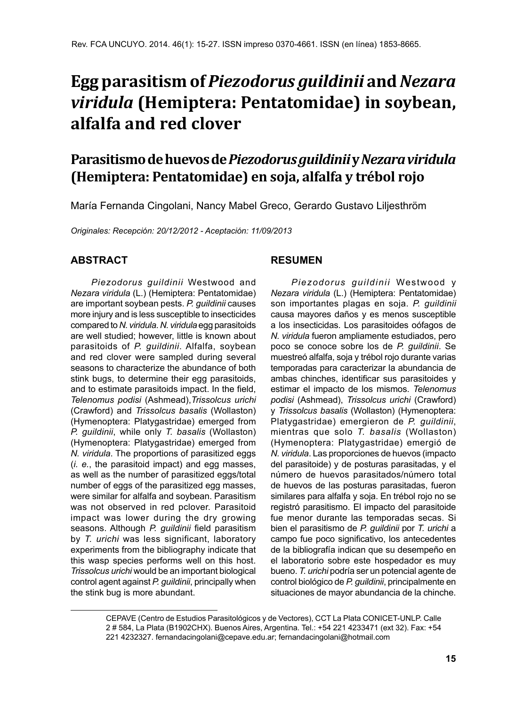# **Egg parasitism of** *Piezodorus guildinii* **and** *Nezara viridula* **(Hemiptera: Pentatomidae) in soybean, alfalfa and red clover**

## **Parasitismo de huevos de** *Piezodorus guildinii* **y** *Nezara viridula* **(Hemiptera: Pentatomidae) en soja, alfalfa y trébol rojo**

María Fernanda Cingolani, Nancy Mabel Greco, Gerardo Gustavo Liljesthröm

*Originales: Recepción: 20/12/2012 - Aceptación: 11/09/2013*

#### **ABSTRACT**

*Piezodorus guildinii* Westwood and *Nezara viridula* (L.) (Hemiptera: Pentatomidae) are important soybean pests. *P. guildinii* causes more injury and is less susceptible to insecticides compared to *N. viridula*. *N. viridula* egg parasitoids are well studied; however, little is known about parasitoids of *P. guildinii*. Alfalfa, soybean and red clover were sampled during several seasons to characterize the abundance of both stink bugs, to determine their egg parasitoids, and to estimate parasitoids impact. In the field, *Telenomus podisi* (Ashmead),*Trissolcus urichi* (Crawford) and *Trissolcus basalis* (Wollaston) (Hymenoptera: Platygastridae) emerged from *P. guildinii*, while only *T. basalis* (Wollaston) (Hymenoptera: Platygastridae) emerged from *N. viridula*. The proportions of parasitized eggs (*i. e.*, the parasitoid impact) and egg masses, as well as the number of parasitized eggs/total number of eggs of the parasitized egg masses, were similar for alfalfa and soybean. Parasitism was not observed in red pclover. Parasitoid impact was lower during the dry growing seasons. Although *P. guildinii* field parasitism by *T. urichi* was less significant, laboratory experiments from the bibliography indicate that this wasp species performs well on this host. *Trissolcus urichi* would be an important biological control agent against *P. guildinii*, principally when the stink bug is more abundant.

#### **RESUMEN**

*Piezodorus guildinii* Westwood y *Nezara viridula* (L.) (Hemiptera: Pentatomidae) son importantes plagas en soja. *P. guildinii*  causa mayores daños y es menos susceptible a los insecticidas. Los parasitoides oófagos de *N. viridula* fueron ampliamente estudiados, pero poco se conoce sobre los de *P. guildinii*. Se muestreó alfalfa, soja y trébol rojo durante varias temporadas para caracterizar la abundancia de ambas chinches, identificar sus parasitoides y estimar el impacto de los mismos. *Telenomus podisi* (Ashmead), *Trissolcus urichi* (Crawford) y *Trissolcus basalis* (Wollaston) (Hymenoptera: Platygastridae) emergieron de *P. guildinii*, mientras que solo *T. basalis* (Wollaston) (Hymenoptera: Platygastridae) emergió de *N. viridula*. Las proporciones de huevos (impacto del parasitoide) y de posturas parasitadas, y el número de huevos parasitados/número total de huevos de las posturas parasitadas, fueron similares para alfalfa y soja. En trébol rojo no se registró parasitismo. El impacto del parasitoide fue menor durante las temporadas secas. Si bien el parasitismo de *P. guildinii* por *T. urichi* a campo fue poco significativo, los antecedentes de la bibliografía indican que su desempeño en el laboratorio sobre este hospedador es muy bueno. *T. urichi* podría ser un potencial agente de control biológico de *P. guildinii*, principalmente en situaciones de mayor abundancia de la chinche.

CEPAVE (Centro de Estudios Parasitológicos y de Vectores), CCT La Plata CONICET-UNLP. Calle 2 # 584, La Plata (B1902CHX). Buenos Aires, Argentina. Tel.: +54 221 4233471 (ext 32). Fax: +54 221 4232327. fernandacingolani@cepave.edu.ar; fernandacingolani@hotmail.com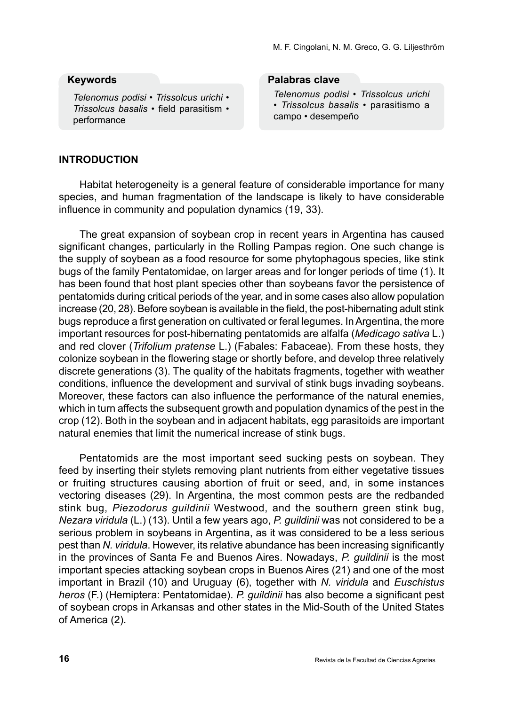#### **Keywords**

*Telenomus podisi* • *Trissolcus urichi* • *Trissolcus basalis* • field parasitism • performance

#### **Palabras clave**

*Telenomus podisi* • *Trissolcus urichi* • *Trissolcus basalis* • parasitismo a campo • desempeño

#### **INTRODUCTION**

Habitat heterogeneity is a general feature of considerable importance for many species, and human fragmentation of the landscape is likely to have considerable influence in community and population dynamics (19, 33).

The great expansion of soybean crop in recent years in Argentina has caused significant changes, particularly in the Rolling Pampas region. One such change is the supply of soybean as a food resource for some phytophagous species, like stink bugs of the family Pentatomidae, on larger areas and for longer periods of time (1). It has been found that host plant species other than soybeans favor the persistence of pentatomids during critical periods of the year, and in some cases also allow population increase (20, 28). Before soybean is available in the field, the post-hibernating adult stink bugs reproduce a first generation on cultivated or feral legumes. In Argentina, the more important resources for post-hibernating pentatomids are alfalfa (*Medicago sativa* L.) and red clover (*Trifolium pratense* L.) (Fabales: Fabaceae). From these hosts, they colonize soybean in the flowering stage or shortly before, and develop three relatively discrete generations (3). The quality of the habitats fragments, together with weather conditions, influence the development and survival of stink bugs invading soybeans. Moreover, these factors can also influence the performance of the natural enemies, which in turn affects the subsequent growth and population dynamics of the pest in the crop (12). Both in the soybean and in adjacent habitats, egg parasitoids are important natural enemies that limit the numerical increase of stink bugs.

Pentatomids are the most important seed sucking pests on soybean. They feed by inserting their stylets removing plant nutrients from either vegetative tissues or fruiting structures causing abortion of fruit or seed, and, in some instances vectoring diseases (29). In Argentina, the most common pests are the redbanded stink bug, *Piezodorus guildinii* Westwood, and the southern green stink bug, *Nezara viridula* (L.) (13). Until a few years ago, *P. guildinii* was not considered to be a serious problem in soybeans in Argentina, as it was considered to be a less serious pest than *N. viridula*. However, its relative abundance has been increasing significantly in the provinces of Santa Fe and Buenos Aires. Nowadays, *P. guildinii* is the most important species attacking soybean crops in Buenos Aires (21) and one of the most important in Brazil (10) and Uruguay (6), together with *N. viridula* and *Euschistus heros* (F.) (Hemiptera: Pentatomidae). *P. guildinii* has also become a significant pest of soybean crops in Arkansas and other states in the Mid-South of the United States of America (2).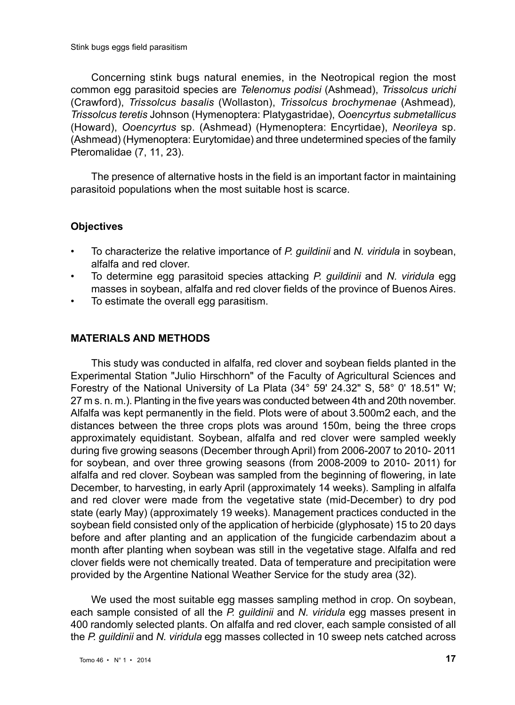Concerning stink bugs natural enemies, in the Neotropical region the most common egg parasitoid species are *Telenomus podisi* (Ashmead), *Trissolcus urichi*  (Crawford), *Trissolcus basalis* (Wollaston), *Trissolcus brochymenae* (Ashmead)*, Trissolcus teretis* Johnson (Hymenoptera: Platygastridae), *Ooencyrtus submetallicus*  (Howard), *Ooencyrtus* sp. (Ashmead) (Hymenoptera: Encyrtidae), *Neorileya* sp. (Ashmead) (Hymenoptera: Eurytomidae) and three undetermined species of the family Pteromalidae (7, 11, 23).

The presence of alternative hosts in the field is an important factor in maintaining parasitoid populations when the most suitable host is scarce.

#### **Objectives**

- To characterize the relative importance of *P. guildinii* and *N. viridula* in soybean, alfalfa and red clover.
- To determine egg parasitoid species attacking *P. guildinii* and *N. viridula* egg masses in soybean, alfalfa and red clover fields of the province of Buenos Aires.
- To estimate the overall egg parasitism.

#### **MATERIALS AND METHODS**

This study was conducted in alfalfa, red clover and soybean fields planted in the Experimental Station "Julio Hirschhorn" of the Faculty of Agricultural Sciences and Forestry of the National University of La Plata (34° 59' 24.32" S, 58° 0' 18.51" W; 27 m s. n. m.). Planting in the five years was conducted between 4th and 20th november. Alfalfa was kept permanently in the field. Plots were of about 3.500m2 each, and the distances between the three crops plots was around 150m, being the three crops approximately equidistant. Soybean, alfalfa and red clover were sampled weekly during five growing seasons (December through April) from 2006-2007 to 2010- 2011 for soybean, and over three growing seasons (from 2008-2009 to 2010- 2011) for alfalfa and red clover. Soybean was sampled from the beginning of flowering, in late December, to harvesting, in early April (approximately 14 weeks). Sampling in alfalfa and red clover were made from the vegetative state (mid-December) to dry pod state (early May) (approximately 19 weeks). Management practices conducted in the soybean field consisted only of the application of herbicide (glyphosate) 15 to 20 days before and after planting and an application of the fungicide carbendazim about a month after planting when soybean was still in the vegetative stage. Alfalfa and red clover fields were not chemically treated. Data of temperature and precipitation were provided by the Argentine National Weather Service for the study area (32).

We used the most suitable egg masses sampling method in crop. On soybean, each sample consisted of all the *P. guildinii* and *N. viridula* egg masses present in 400 randomly selected plants. On alfalfa and red clover, each sample consisted of all the *P. guildinii* and *N. viridula* egg masses collected in 10 sweep nets catched across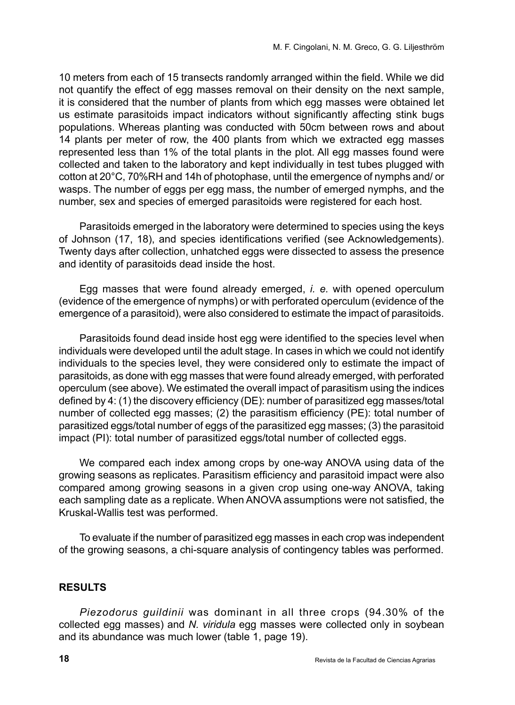10 meters from each of 15 transects randomly arranged within the field. While we did not quantify the effect of egg masses removal on their density on the next sample, it is considered that the number of plants from which egg masses were obtained let us estimate parasitoids impact indicators without significantly affecting stink bugs populations. Whereas planting was conducted with 50cm between rows and about 14 plants per meter of row, the 400 plants from which we extracted egg masses represented less than 1% of the total plants in the plot. All egg masses found were collected and taken to the laboratory and kept individually in test tubes plugged with cotton at 20°C, 70%RH and 14h of photophase, until the emergence of nymphs and/ or wasps. The number of eggs per egg mass, the number of emerged nymphs, and the number, sex and species of emerged parasitoids were registered for each host.

Parasitoids emerged in the laboratory were determined to species using the keys of Johnson (17, 18), and species identifications verified (see Acknowledgements). Twenty days after collection, unhatched eggs were dissected to assess the presence and identity of parasitoids dead inside the host.

Egg masses that were found already emerged, *i. e.* with opened operculum (evidence of the emergence of nymphs) or with perforated operculum (evidence of the emergence of a parasitoid), were also considered to estimate the impact of parasitoids.

Parasitoids found dead inside host egg were identified to the species level when individuals were developed until the adult stage. In cases in which we could not identify individuals to the species level, they were considered only to estimate the impact of parasitoids, as done with egg masses that were found already emerged, with perforated operculum (see above). We estimated the overall impact of parasitism using the indices defined by 4: (1) the discovery efficiency (DE): number of parasitized egg masses/total number of collected egg masses; (2) the parasitism efficiency (PE): total number of parasitized eggs/total number of eggs of the parasitized egg masses; (3) the parasitoid impact (PI): total number of parasitized eggs/total number of collected eggs.

We compared each index among crops by one-way ANOVA using data of the growing seasons as replicates. Parasitism efficiency and parasitoid impact were also compared among growing seasons in a given crop using one-way ANOVA, taking each sampling date as a replicate. When ANOVA assumptions were not satisfied, the Kruskal-Wallis test was performed.

To evaluate if the number of parasitized egg masses in each crop was independent of the growing seasons, a chi-square analysis of contingency tables was performed.

#### **RESULTS**

*Piezodorus guildinii* was dominant in all three crops (94.30% of the collected egg masses) and *N. viridula* egg masses were collected only in soybean and its abundance was much lower (table 1, page 19).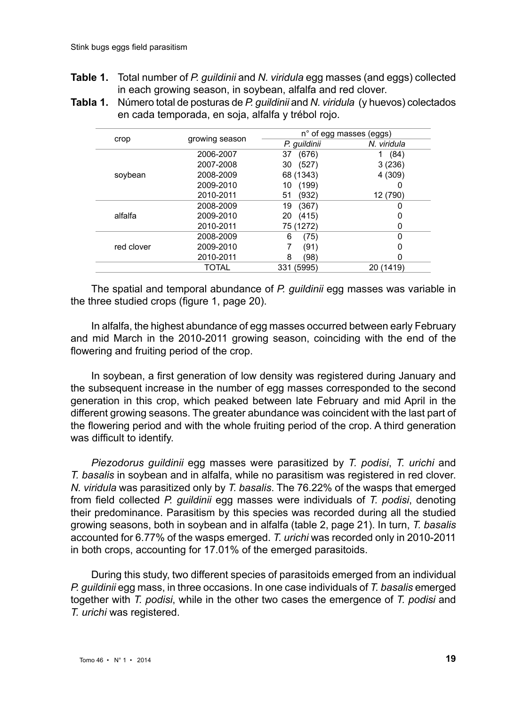- **Table 1.** Total number of *P. guildinii* and *N. viridula* egg masses (and eggs) collected in each growing season, in soybean, alfalfa and red clover.
- **Tabla 1.** Número total de posturas de *P. guildinii* and *N. viridula* (y huevos) colectados en cada temporada, en soja, alfalfa y trébol rojo.

|            |                | n° of egg masses (eggs) |             |
|------------|----------------|-------------------------|-------------|
| crop       | growing season | P. quildinii            | N. viridula |
|            | 2006-2007      | (676)<br>37             | (84)        |
|            | 2007-2008      | (527)<br>30             | 3(236)      |
| soybean    | 2008-2009      | 68 (1343)               | 4 (309)     |
|            | 2009-2010      | (199)<br>10             | O           |
|            | 2010-2011      | (932)<br>51             | 12 (790)    |
|            | 2008-2009      | 19<br>(367)             | 0           |
| alfalfa    | 2009-2010      | (415)<br>20             | Ω           |
|            | 2010-2011      | 75 (1272)               | 0           |
|            | 2008-2009      | 6<br>(75)               | O           |
| red clover | 2009-2010      | (91)                    | ი           |
|            | 2010-2011      | 8<br>(98)               | 0           |
|            | TOTAL          | 331 (5995)              | 20 (1419)   |

The spatial and temporal abundance of *P. guildinii* egg masses was variable in the three studied crops (figure 1, page 20).

In alfalfa, the highest abundance of egg masses occurred between early February and mid March in the 2010-2011 growing season, coinciding with the end of the flowering and fruiting period of the crop.

In soybean, a first generation of low density was registered during January and the subsequent increase in the number of egg masses corresponded to the second generation in this crop, which peaked between late February and mid April in the different growing seasons. The greater abundance was coincident with the last part of the flowering period and with the whole fruiting period of the crop. A third generation was difficult to identify.

*Piezodorus guildinii* egg masses were parasitized by *T. podisi*, *T. urichi* and *T. basalis* in soybean and in alfalfa, while no parasitism was registered in red clover. *N. viridula* was parasitized only by *T. basalis*. The 76.22% of the wasps that emerged from field collected *P. guildinii* egg masses were individuals of *T. podisi*, denoting their predominance. Parasitism by this species was recorded during all the studied growing seasons, both in soybean and in alfalfa (table 2, page 21). In turn, *T. basalis* accounted for 6.77% of the wasps emerged. *T. urichi* was recorded only in 2010-2011 in both crops, accounting for 17.01% of the emerged parasitoids.

During this study, two different species of parasitoids emerged from an individual *P. guildinii* egg mass, in three occasions. In one case individuals of *T. basalis* emerged together with *T. podisi*, while in the other two cases the emergence of *T. podisi* and *T. urichi* was registered.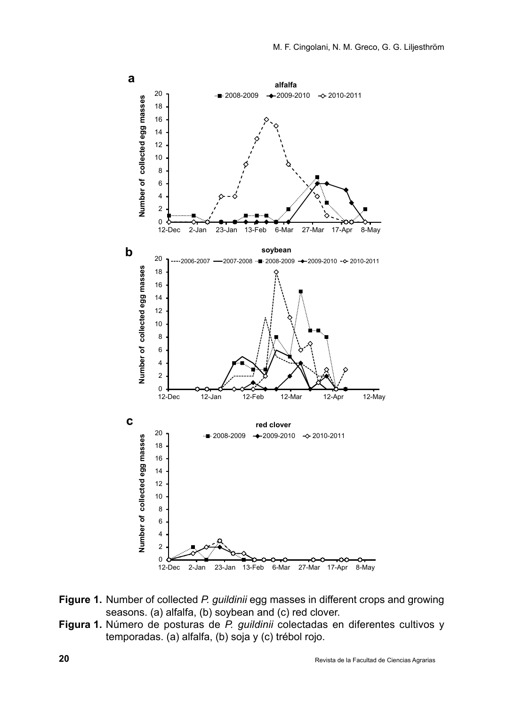

- **Figure 1.** Number of collected *P. guildinii* egg masses in different crops and growing seasons. (a) alfalfa, (b) soybean and (c) red clover.
- **Figura 1.** Número de posturas de *P. guildinii* colectadas en diferentes cultivos y temporadas. (a) alfalfa, (b) soja y (c) trébol rojo.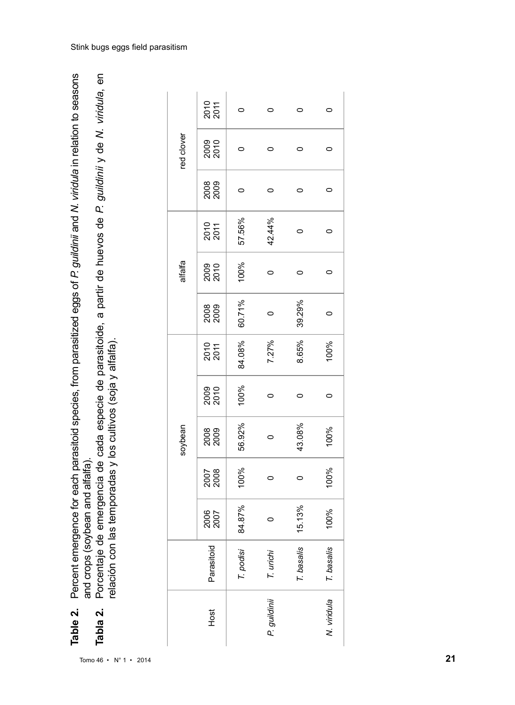Percent emergence for each parasitoid species, from parasitized eggs of P. guildinii and N. viridula in relation to seasons **Table 2.** Percent emergence for each parasitoid species, from parasitized eggs of *P. guildinii* and *N. viridula* in relation to seasons and crops (soybean and alfalfa). and crops (soybean and alfalfa). Table 2.

**Tabla 2.** Porcentaje de emergencia de cada especie de parasitoide, a partir de huevos de *P. guildinii* y de *N. viridula*, en Porcentaje de emergencia de cada especie de parasitoide, a partir de huevos de P. guildinii y de N. viridula, en relación con las temporadas y los cultivos (soja y alfalfa). relación con las temporadas y los cultivos (soja y alfalfa). Tabla 2.

|              |                |         |              | soybean |              |              |        | alfalfa |              |      | red clover   |              |
|--------------|----------------|---------|--------------|---------|--------------|--------------|--------|---------|--------------|------|--------------|--------------|
| Host         | 고<br>Parasitoi | 2005    | 2007<br>2008 | 2008    | 2009<br>2010 | 2010<br>2011 | 2008   | 2009    | 2010<br>2011 | 2008 | 2009<br>2010 | 2011<br>2011 |
|              | T. podisi      | 84.87%  | 100%         | 56.92%  | 100%         | 84.08%       | 60.71% | 100%    | 57.56%       | 0    | 0            | O            |
| P. guildinii | T. urichi      | $\circ$ |              |         |              | 7.27%        | 0      | o       | 42.44%       | 0    | O            | $\circ$      |
|              | s<br>T. basali | 15.13%  |              | 43.08%  |              | 8.65%        | 39.29% | 0       |              | 0    | 0            | $\circ$      |
| N. viridula  | T. basalis     | 100%    | 100%         | 100%    | 0            | 100%         | 0      | 0       | 0            | 0    | 0            | 0            |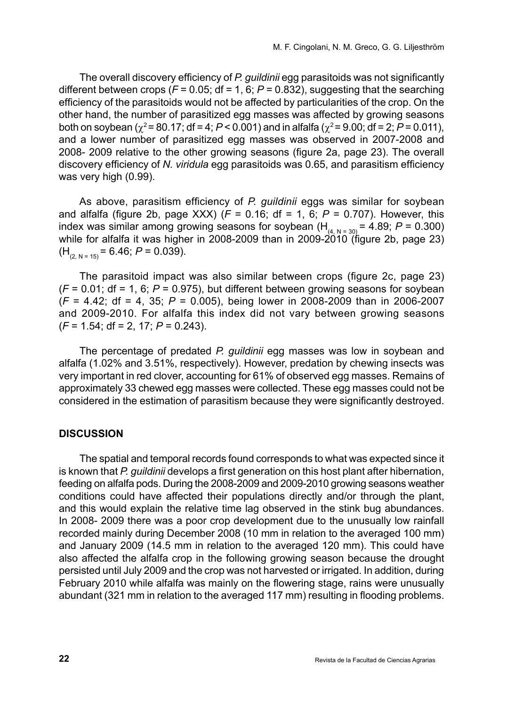The overall discovery efficiency of *P. guildinii* egg parasitoids was not significantly different between crops ( $F = 0.05$ ; df = 1, 6;  $P = 0.832$ ), suggesting that the searching efficiency of the parasitoids would not be affected by particularities of the crop. On the other hand, the number of parasitized egg masses was affected by growing seasons both on soybean ( $\chi^2$  = 80.17; df = 4;  $P$  < 0.001) and in alfalfa ( $\chi^2$  = 9.00; df = 2;  $P$  = 0.011). and a lower number of parasitized egg masses was observed in 2007-2008 and 2008- 2009 relative to the other growing seasons (figure 2a, page 23). The overall discovery efficiency of *N. viridula* egg parasitoids was 0.65, and parasitism efficiency was very high (0.99).

As above, parasitism efficiency of *P. guildinii* eggs was similar for soybean and alfalfa (figure 2b, page XXX) (*F* = 0.16; df = 1, 6; *P* = 0.707). However, this index was similar among growing seasons for soybean  $(H<sub>(4, N = 30)</sub> = 4.89; P = 0.300)$ while for alfalfa it was higher in 2008-2009 than in 2009-2010 (figure 2b, page 23)  $(H<sub>(2, N = 15)</sub> = 6.46; P = 0.039).$ 

The parasitoid impact was also similar between crops (figure 2c, page 23)  $(F = 0.01$ ; df = 1, 6;  $P = 0.975$ ), but different between growing seasons for soybean (*F* = 4.42; df = 4, 35; *P* = 0.005), being lower in 2008-2009 than in 2006-2007 and 2009-2010. For alfalfa this index did not vary between growing seasons (*F* = 1.54; df = 2, 17; *P* = 0.243).

The percentage of predated *P. guildinii* egg masses was low in soybean and alfalfa (1.02% and 3.51%, respectively). However, predation by chewing insects was very important in red clover, accounting for 61% of observed egg masses. Remains of approximately 33 chewed egg masses were collected. These egg masses could not be considered in the estimation of parasitism because they were significantly destroyed.

### **DISCUSSION**

The spatial and temporal records found corresponds to what was expected since it is known that *P. guildinii* develops a first generation on this host plant after hibernation, feeding on alfalfa pods. During the 2008-2009 and 2009-2010 growing seasons weather conditions could have affected their populations directly and/or through the plant, and this would explain the relative time lag observed in the stink bug abundances. In 2008- 2009 there was a poor crop development due to the unusually low rainfall recorded mainly during December 2008 (10 mm in relation to the averaged 100 mm) and January 2009 (14.5 mm in relation to the averaged 120 mm). This could have also affected the alfalfa crop in the following growing season because the drought persisted until July 2009 and the crop was not harvested or irrigated. In addition, during February 2010 while alfalfa was mainly on the flowering stage, rains were unusually abundant (321 mm in relation to the averaged 117 mm) resulting in flooding problems.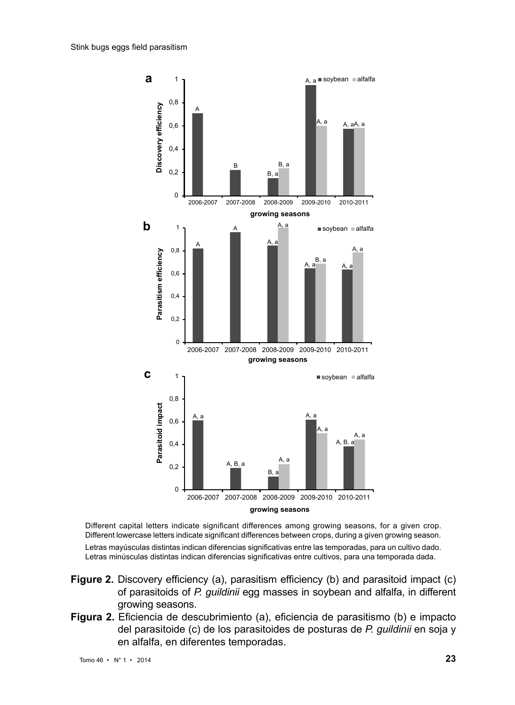

Different capital letters indicate significant differences among growing seasons, for a given crop. Different lowercase letters indicate significant differences between crops, during a given growing season.

Letras mayúsculas distintas indican diferencias significativas entre las temporadas, para un cultivo dado. Letras minúsculas distintas indican diferencias significativas entre cultivos, para una temporada dada.

- **Figure 2.** Discovery efficiency (a), parasitism efficiency (b) and parasitoid impact (c) of parasitoids of *P. guildinii* egg masses in soybean and alfalfa, in different growing seasons.
- **Figura 2.** Eficiencia de descubrimiento (a), eficiencia de parasitismo (b) e impacto del parasitoide (c) de los parasitoides de posturas de *P. guildinii* en soja y en alfalfa, en diferentes temporadas.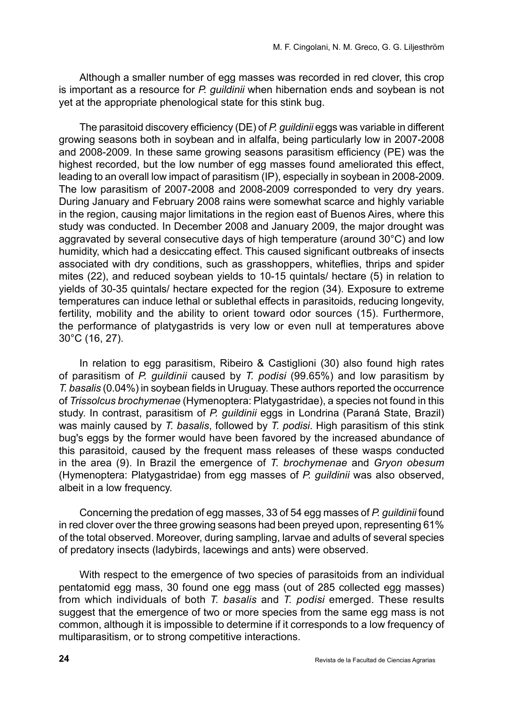Although a smaller number of egg masses was recorded in red clover, this crop is important as a resource for *P. guildinii* when hibernation ends and soybean is not yet at the appropriate phenological state for this stink bug.

The parasitoid discovery efficiency (DE) of *P. guildinii* eggs was variable in different growing seasons both in soybean and in alfalfa, being particularly low in 2007-2008 and 2008-2009. In these same growing seasons parasitism efficiency (PE) was the highest recorded, but the low number of egg masses found ameliorated this effect, leading to an overall low impact of parasitism (IP), especially in soybean in 2008-2009. The low parasitism of 2007-2008 and 2008-2009 corresponded to very dry years. During January and February 2008 rains were somewhat scarce and highly variable in the region, causing major limitations in the region east of Buenos Aires, where this study was conducted. In December 2008 and January 2009, the major drought was aggravated by several consecutive days of high temperature (around 30°C) and low humidity, which had a desiccating effect. This caused significant outbreaks of insects associated with dry conditions, such as grasshoppers, whiteflies, thrips and spider mites (22), and reduced soybean yields to 10-15 quintals/ hectare (5) in relation to yields of 30-35 quintals/ hectare expected for the region (34). Exposure to extreme temperatures can induce lethal or sublethal effects in parasitoids, reducing longevity, fertility, mobility and the ability to orient toward odor sources (15). Furthermore, the performance of platygastrids is very low or even null at temperatures above 30°C (16, 27).

In relation to egg parasitism, Ribeiro & Castiglioni (30) also found high rates of parasitism of *P. guildinii* caused by *T. podisi* (99.65%) and low parasitism by *T. basalis* (0.04%) in soybean fields in Uruguay. These authors reported the occurrence of *Trissolcus brochymenae* (Hymenoptera: Platygastridae), a species not found in this study. In contrast, parasitism of *P. guildinii* eggs in Londrina (Paraná State, Brazil) was mainly caused by *T. basalis*, followed by *T. podisi*. High parasitism of this stink bug's eggs by the former would have been favored by the increased abundance of this parasitoid, caused by the frequent mass releases of these wasps conducted in the area (9). In Brazil the emergence of *T. brochymenae* and *Gryon obesum* (Hymenoptera: Platygastridae) from egg masses of *P. guildinii* was also observed, albeit in a low frequency.

Concerning the predation of egg masses, 33 of 54 egg masses of *P. guildinii* found in red clover over the three growing seasons had been preyed upon, representing 61% of the total observed. Moreover, during sampling, larvae and adults of several species of predatory insects (ladybirds, lacewings and ants) were observed.

With respect to the emergence of two species of parasitoids from an individual pentatomid egg mass, 30 found one egg mass (out of 285 collected egg masses) from which individuals of both *T. basalis* and *T. podisi* emerged. These results suggest that the emergence of two or more species from the same egg mass is not common, although it is impossible to determine if it corresponds to a low frequency of multiparasitism, or to strong competitive interactions.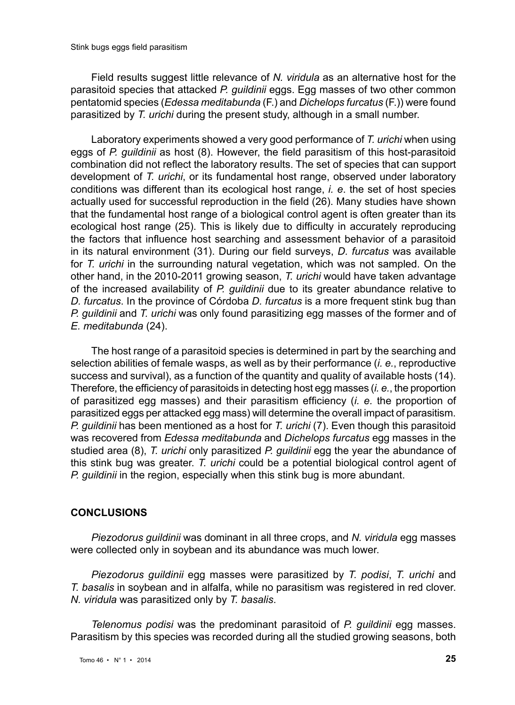Field results suggest little relevance of *N. viridula* as an alternative host for the parasitoid species that attacked *P. guildinii* eggs. Egg masses of two other common pentatomid species (*Edessa meditabunda* (F.) and *Dichelops furcatus* (F.)) were found parasitized by *T. urichi* during the present study, although in a small number.

Laboratory experiments showed a very good performance of *T. urichi* when using eggs of *P. guildinii* as host (8). However, the field parasitism of this host-parasitoid combination did not reflect the laboratory results. The set of species that can support development of *T. urichi*, or its fundamental host range, observed under laboratory conditions was different than its ecological host range, *i. e*. the set of host species actually used for successful reproduction in the field (26). Many studies have shown that the fundamental host range of a biological control agent is often greater than its ecological host range (25). This is likely due to difficulty in accurately reproducing the factors that influence host searching and assessment behavior of a parasitoid in its natural environment (31). During our field surveys, *D. furcatus* was available for *T. urichi* in the surrounding natural vegetation, which was not sampled. On the other hand, in the 2010-2011 growing season, *T. urichi* would have taken advantage of the increased availability of *P. guildinii* due to its greater abundance relative to *D. furcatus*. In the province of Córdoba *D. furcatus* is a more frequent stink bug than *P. guildinii* and *T. urichi* was only found parasitizing egg masses of the former and of *E. meditabunda* (24).

The host range of a parasitoid species is determined in part by the searching and selection abilities of female wasps, as well as by their performance (*i. e.*, reproductive success and survival), as a function of the quantity and quality of available hosts (14). Therefore, the efficiency of parasitoids in detecting host egg masses (*i. e.*, the proportion of parasitized egg masses) and their parasitism efficiency (*i. e.* the proportion of parasitized eggs per attacked egg mass) will determine the overall impact of parasitism. *P. guildinii* has been mentioned as a host for *T. urichi* (7). Even though this parasitoid was recovered from *Edessa meditabunda* and *Dichelops furcatus* egg masses in the studied area (8), *T. urichi* only parasitized *P. guildinii* egg the year the abundance of this stink bug was greater. *T. urichi* could be a potential biological control agent of *P. guildinii* in the region, especially when this stink bug is more abundant.

#### **CONCLUSIONS**

*Piezodorus guildinii* was dominant in all three crops, and *N. viridula* egg masses were collected only in soybean and its abundance was much lower.

*Piezodorus guildinii* egg masses were parasitized by *T. podisi*, *T. urichi* and *T. basalis* in soybean and in alfalfa, while no parasitism was registered in red clover. *N. viridula* was parasitized only by *T. basalis*.

*Telenomus podisi* was the predominant parasitoid of *P. guildinii* egg masses. Parasitism by this species was recorded during all the studied growing seasons, both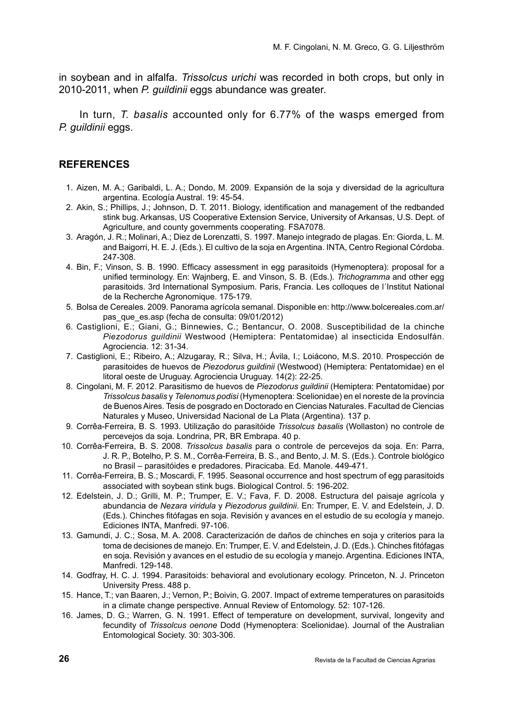in soybean and in alfalfa. *Trissolcus urichi* was recorded in both crops, but only in 2010-2011, when *P. guildinii* eggs abundance was greater.

In turn, *T. basalis* accounted only for 6.77% of the wasps emerged from *P. guildinii* eggs.

#### **REFERENCES**

- 1. Aizen, M. A.; Garibaldi, L. A.; Dondo, M. 2009. Expansión de la soja y diversidad de la agricultura argentina. Ecología Austral. 19: 45-54.
- 2. Akin, S.; Phillips, J.; Johnson, D. T. 2011. Biology, identification and management of the redbanded stink bug. Arkansas, US Cooperative Extension Service, University of Arkansas, U.S. Dept. of Agriculture, and county governments cooperating. FSA7078.
- 3. Aragón, J. R.; Molinari, A.; Diez de Lorenzatti, S. 1997. Manejo integrado de plagas. En: Giorda, L. M. and Baigorri, H. E. J. (Eds.). El cultivo de la soja en Argentina. INTA, Centro Regional Córdoba. 247-308.
- 4. Bin, F.; Vinson, S. B. 1990. Efficacy assessment in egg parasitoids (Hymenoptera): proposal for a unified terminology. En: Wajnberg, E. and Vinson, S. B. (Eds.). *Trichogramma* and other egg parasitoids. 3rd International Symposium. Paris, Francia. Les colloques de l´Institut National de la Recherche Agronomique. 175-179.
- 5. Bolsa de Cereales. 2009. Panorama agrícola semanal. Disponible en: http://www.bolcereales.com.ar/ pas que es.asp (fecha de consulta: 09/01/2012)
- 6. Castiglioni, E.; Giani, G.; Binnewies, C.; Bentancur, O. 2008. Susceptibilidad de la chinche *Piezodorus guildinii* Westwood (Hemiptera: Pentatomidae) al insecticida Endosulfán. Agrociencia. 12: 31-34.
- 7. Castiglioni, E.; Ribeiro, A.; Alzugaray, R.; Silva, H.; Ávila, I.; Loiácono, M.S. 2010. Prospección de parasitoides de huevos de *Piezodorus guildinii* (Westwood) (Hemiptera: Pentatomidae) en el litoral oeste de Uruguay. Agrociencia Uruguay. 14(2): 22-25.
- 8. Cingolani, M. F. 2012. Parasitismo de huevos de *Piezodorus guildinii* (Hemiptera: Pentatomidae) por *Trissolcus basalis* y *Telenomus podisi* (Hymenoptera: Scelionidae) en el noreste de la provincia de Buenos Aires. Tesis de posgrado en Doctorado en Ciencias Naturales. Facultad de Ciencias Naturales y Museo, Universidad Nacional de La Plata (Argentina). 137 p.
- 9. Corrêa-Ferreira, B. S. 1993. Utilização do parasitóide *Trissolcus basalis* (Wollaston) no controle de percevejos da soja. Londrina, PR, BR Embrapa. 40 p.
- 10. Corrêa-Ferreira, B. S. 2008. *Trissolcus basalis* para o controle de percevejos da soja. En: Parra, J. R. P., Botelho, P. S. M., Corrêa-Ferreira, B. S., and Bento, J. M. S. (Eds.). Controle biológico no Brasil – parasitóides e predadores. Piracicaba. Ed. Manole. 449-471.
- 11. Corrêa-Ferreira, B. S.; Moscardi, F. 1995. Seasonal occurrence and host spectrum of egg parasitoids associated with soybean stink bugs. Biological Control. 5: 196-202.
- 12. Edelstein, J. D.; Grilli, M. P.; Trumper, E. V.; Fava, F. D. 2008. Estructura del paisaje agrícola y abundancia de *Nezara viridula* y *Piezodorus guildinii*. En: Trumper, E. V. and Edelstein, J. D. (Eds.). Chinches fitófagas en soja. Revisión y avances en el estudio de su ecología y manejo. Ediciones INTA, Manfredi. 97-106.
- 13. Gamundi, J. C.; Sosa, M. A. 2008. Caracterización de daños de chinches en soja y criterios para la toma de decisiones de manejo. En: Trumper, E. V. and Edelstein, J. D. (Eds.). Chinches fitófagas en soja. Revisión y avances en el estudio de su ecología y manejo. Argentina. Ediciones INTA, Manfredi. 129-148.
- 14. Godfray, H. C. J. 1994. Parasitoids: behavioral and evolutionary ecology. Princeton, N. J. Princeton University Press. 488 p.
- 15. Hance, T.; van Baaren, J.; Vernon, P.; Boivin, G. 2007. Impact of extreme temperatures on parasitoids in a climate change perspective. Annual Review of Entomology. 52: 107-126.
- 16. James, D. G.; Warren, G. N. 1991. Effect of temperature on development, survival, longevity and fecundity of *Trissolcus oenone* Dodd (Hymenoptera: Scelionidae). Journal of the Australian Entomological Society. 30: 303-306.